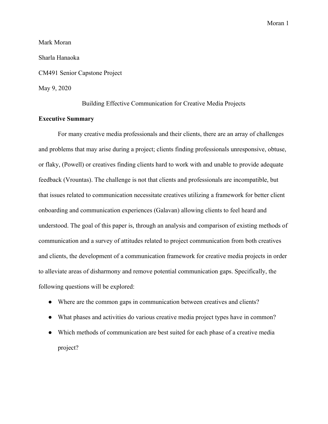## Mark Moran

Sharla Hanaoka

CM491 Senior Capstone Project

May 9, 2020

Building Effective Communication for Creative Media Projects

## **Executive Summary**

For many creative media professionals and their clients, there are an array of challenges and problems that may arise during a project; clients finding professionals unresponsive, obtuse, or flaky, (Powell) or creatives finding clients hard to work with and unable to provide adequate feedback (Vrountas). The challenge is not that clients and professionals are incompatible, but that issues related to communication necessitate creatives utilizing a framework for better client onboarding and communication experiences (Galavan) allowing clients to feel heard and understood. The goal of this paper is, through an analysis and comparison of existing methods of communication and a survey of attitudes related to project communication from both creatives and clients, the development of a communication framework for creative media projects in order to alleviate areas of disharmony and remove potential communication gaps. Specifically, the following questions will be explored:

- Where are the common gaps in communication between creatives and clients?
- What phases and activities do various creative media project types have in common?
- Which methods of communication are best suited for each phase of a creative media project?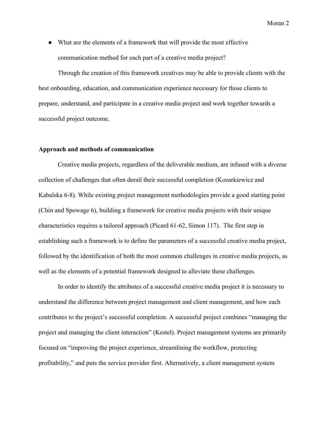• What are the elements of a framework that will provide the most effective communication method for each part of a creative media project?

Through the creation of this framework creatives may be able to provide clients with the best onboarding, education, and communication experience necessary for those clients to prepare, understand, and participate in a creative media project and work together towards a successful project outcome.

## **Approach and methods of communication**

Creative media projects, regardless of the deliverable medium, are infused with a diverse collection of challenges that often derail their successful completion (Kozarkiewicz and Kabalska 6-8). While existing project management methodologies provide a good starting point (Chin and Spowage 6), building a framework for creative media projects with their unique characteristics requires a tailored approach (Picard 61-62, Simon 117). The first step in establishing such a framework is to define the parameters of a successful creative media project, followed by the identification of both the most common challenges in creative media projects, as well as the elements of a potential framework designed to alleviate these challenges.

In order to identify the attributes of a successful creative media project it is necessary to understand the difference between project management and client management, and how each contributes to the project's successful completion. A successful project combines "managing the project and managing the client interaction" (Kestel). Project management systems are primarily focused on "improving the project experience, streamlining the workflow, protecting profitability," and puts the service provider first. Alternatively, a client management system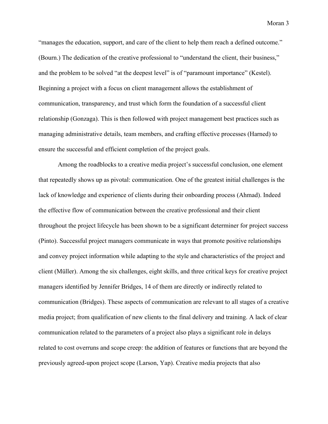"manages the education, support, and care of the client to help them reach a defined outcome." (Bourn.) The dedication of the creative professional to "understand the client, their business," and the problem to be solved "at the deepest level" is of "paramount importance" (Kestel). Beginning a project with a focus on client management allows the establishment of communication, transparency, and trust which form the foundation of a successful client relationship (Gonzaga). This is then followed with project management best practices such as managing administrative details, team members, and crafting effective processes (Harned) to ensure the successful and efficient completion of the project goals.

Among the roadblocks to a creative media projectʻs successful conclusion, one element that repeatedly shows up as pivotal: communication. One of the greatest initial challenges is the lack of knowledge and experience of clients during their onboarding process (Ahmad). Indeed the effective flow of communication between the creative professional and their client throughout the project lifecycle has been shown to be a significant determiner for project success (Pinto). Successful project managers communicate in ways that promote positive relationships and convey project information while adapting to the style and characteristics of the project and client (Müller). Among the six challenges, eight skills, and three critical keys for creative project managers identified by Jennifer Bridges, 14 of them are directly or indirectly related to communication (Bridges). These aspects of communication are relevant to all stages of a creative media project; from qualification of new clients to the final delivery and training. A lack of clear communication related to the parameters of a project also plays a significant role in delays related to cost overruns and scope creep: the addition of features or functions that are beyond the previously agreed-upon project scope (Larson, Yap). Creative media projects that also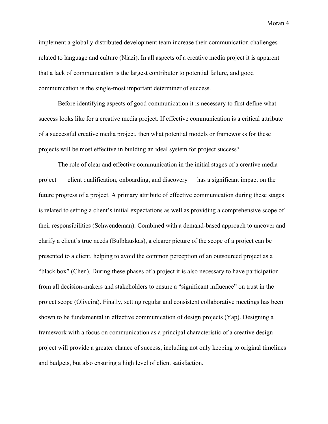implement a globally distributed development team increase their communication challenges related to language and culture (Niazi). In all aspects of a creative media project it is apparent that a lack of communication is the largest contributor to potential failure, and good communication is the single-most important determiner of success.

Before identifying aspects of good communication it is necessary to first define what success looks like for a creative media project. If effective communication is a critical attribute of a successful creative media project, then what potential models or frameworks for these projects will be most effective in building an ideal system for project success?

The role of clear and effective communication in the initial stages of a creative media project — client qualification, onboarding, and discovery — has a significant impact on the future progress of a project. A primary attribute of effective communication during these stages is related to setting a client's initial expectations as well as providing a comprehensive scope of their responsibilities (Schwendeman). Combined with a demand-based approach to uncover and clarify a client's true needs (Bulblauskas), a clearer picture of the scope of a project can be presented to a client, helping to avoid the common perception of an outsourced project as a "black box" (Chen). During these phases of a project it is also necessary to have participation from all decision-makers and stakeholders to ensure a "significant influence" on trust in the project scope (Oliveira). Finally, setting regular and consistent collaborative meetings has been shown to be fundamental in effective communication of design projects (Yap). Designing a framework with a focus on communication as a principal characteristic of a creative design project will provide a greater chance of success, including not only keeping to original timelines and budgets, but also ensuring a high level of client satisfaction.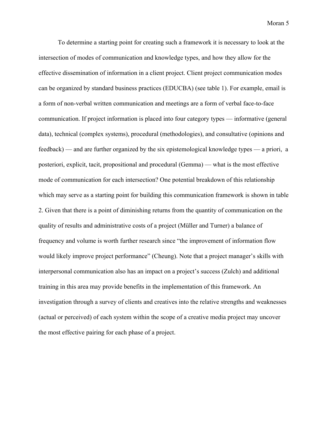To determine a starting point for creating such a framework it is necessary to look at the intersection of modes of communication and knowledge types, and how they allow for the effective dissemination of information in a client project. Client project communication modes can be organized by standard business practices (EDUCBA) (see table 1). For example, email is a form of non-verbal written communication and meetings are a form of verbal face-to-face communication. If project information is placed into four category types — informative (general data), technical (complex systems), procedural (methodologies), and consultative (opinions and feedback) — and are further organized by the six epistemological knowledge types — a priori, a posteriori, explicit, tacit, propositional and procedural (Gemma) — what is the most effective mode of communication for each intersection? One potential breakdown of this relationship which may serve as a starting point for building this communication framework is shown in table 2. Given that there is a point of diminishing returns from the quantity of communication on the quality of results and administrative costs of a project (Müller and Turner) a balance of frequency and volume is worth further research since "the improvement of information flow would likely improve project performance" (Cheung). Note that a project manager's skills with interpersonal communication also has an impact on a project's success (Zulch) and additional training in this area may provide benefits in the implementation of this framework. An investigation through a survey of clients and creatives into the relative strengths and weaknesses (actual or perceived) of each system within the scope of a creative media project may uncover the most effective pairing for each phase of a project.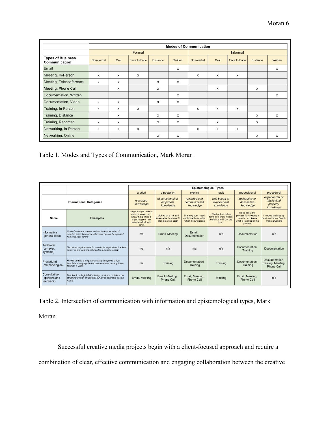|                                           | <b>Modes of Communication</b>                                           |   |   |   |                           |          |                           |                 |                |   |
|-------------------------------------------|-------------------------------------------------------------------------|---|---|---|---------------------------|----------|---------------------------|-----------------|----------------|---|
|                                           | Formal                                                                  |   |   |   |                           | Informal |                           |                 |                |   |
| <b>Types of Business</b><br>Communication | Oral<br>Non-verbal<br>Written<br><b>Face to Face</b><br><b>Distance</b> |   |   |   | Non-verbal                | Oral     | Face to Face              | <b>Distance</b> | Written        |   |
| Email                                     |                                                                         |   |   |   | $\boldsymbol{\mathsf{x}}$ |          |                           |                 |                | x |
| Meeting, In-Person                        | $\times$                                                                | X | X |   |                           | X        | X                         | x               |                |   |
| Meeting, Teleconference                   | $\times$                                                                | X |   | x | $\boldsymbol{\mathsf{x}}$ |          |                           |                 |                |   |
| Meeting, Phone Call                       |                                                                         | X |   | x |                           |          | $\boldsymbol{\mathsf{x}}$ |                 | $\pmb{\times}$ |   |
| Documentation, Written                    |                                                                         |   |   |   | X                         |          |                           |                 |                | x |
| Documentation, Video                      | X                                                                       | X |   | x | X                         |          |                           |                 |                |   |
| Training, In-Person                       | $\times$                                                                | X | X |   |                           | X        | X                         | x               |                |   |
| Training, Distance                        |                                                                         | x |   | x | $\pmb{\times}$            |          |                           |                 | x              | x |
| Training, Recorded                        | $\boldsymbol{\mathsf{x}}$                                               | X |   | x | $\boldsymbol{\mathsf{x}}$ |          | $\boldsymbol{\mathsf{x}}$ |                 | X              |   |
| Networking, In-Person                     | X                                                                       | X | X |   |                           | X        | X                         | x               |                |   |
| Networking, Online                        |                                                                         |   |   | x | X                         |          |                           |                 | X              | x |

Table 1. Modes and Types of Communication, Mark Moran

|                                            |                                                                                                                                      | <b>Epistomological Types</b>                                                                                            |                                                                             |                                                                   |                                                                                          |                                                                                                         |                                                                 |  |  |
|--------------------------------------------|--------------------------------------------------------------------------------------------------------------------------------------|-------------------------------------------------------------------------------------------------------------------------|-----------------------------------------------------------------------------|-------------------------------------------------------------------|------------------------------------------------------------------------------------------|---------------------------------------------------------------------------------------------------------|-----------------------------------------------------------------|--|--|
|                                            |                                                                                                                                      | a priori                                                                                                                | a posteriori                                                                | explicit                                                          | tacit                                                                                    | propositional                                                                                           | procedural                                                      |  |  |
| <b>Informational Categories</b>            |                                                                                                                                      | reasoned<br>knowledge                                                                                                   | observational or<br>empiracle<br>knowledge                                  | recorded and<br>communicated<br>knowledge                         | skill-based or<br>experiencial<br>knowledge                                              | declarative or<br>descriptive<br>knowledge                                                              | experiencial or<br>intellectual<br>property<br>knowledge        |  |  |
| Name                                       | <b>Examples</b>                                                                                                                      | Large images make a<br>website slower, so I<br>know that putting a<br>large image on my<br>website will slow it<br>down | I clicked on a link so I<br>know what happens if I<br>click on a link again | The blog post I read<br>contained knowledge<br>which I now posess | I filled out an online<br>form, so I know what it<br>feels like to fill out the<br>form. | I read about the<br>process for creating a<br>website, so I know<br>what is involved in the<br>process. | I made a website by<br>hand, so I know how to<br>make a website |  |  |
| Informative<br>(general data)              | Cost of software; names and contact information of<br>creative team; type of development system being used;<br>hex codes for colors: | n/a                                                                                                                     | Email, Meeting                                                              | Email.<br>Documentation                                           | n/a                                                                                      | Documentation                                                                                           | n/a                                                             |  |  |
| Technical<br>(complex<br>systems)          | Technical requirements for a website application; backend<br>server setup: camera settings for a location shoot:                     | n/a                                                                                                                     | n/a                                                                         | n/a                                                               | n/a                                                                                      | Documentation.<br>Training                                                                              | Documentation                                                   |  |  |
| Procedural<br>(methodologies)              | How to update a blog post; adding images to a flyer<br>template; changing the lens on a camera; adding lower<br>thirds to a video    | n/a                                                                                                                     | Training                                                                    | Documentation.<br>Training                                        | Training                                                                                 | Documentation.<br>Training                                                                              | Documentation.<br>Training, Meeting,<br>Phone Call              |  |  |
| Consultative<br>(opinions and<br>feedback) | Feedback on high fidelity design mockups; opinions on<br>structural design of website; survey of desirable design<br>motifs          | Email, Meeting                                                                                                          | Email, Meeting,<br>Phone Call                                               | Email, Meeting,<br>Phone Call                                     | Meeting                                                                                  | Email, Meeting,<br>Phone Call                                                                           | n/a                                                             |  |  |

Table 2. Intersection of communication with information and epistemological types, Mark Moran

Successful creative media projects begin with a client-focused approach and require a combination of clear, effective communication and engaging collaboration between the creative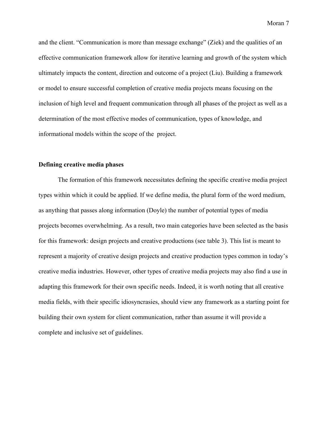and the client. "Communication is more than message exchange" (Ziek) and the qualities of an effective communication framework allow for iterative learning and growth of the system which ultimately impacts the content, direction and outcome of a project (Liu). Building a framework or model to ensure successful completion of creative media projects means focusing on the inclusion of high level and frequent communication through all phases of the project as well as a determination of the most effective modes of communication, types of knowledge, and informational models within the scope of the project.

## **Defining creative media phases**

The formation of this framework necessitates defining the specific creative media project types within which it could be applied. If we define media, the plural form of the word medium, as anything that passes along information (Doyle) the number of potential types of media projects becomes overwhelming. As a result, two main categories have been selected as the basis for this framework: design projects and creative productions (see table 3). This list is meant to represent a majority of creative design projects and creative production types common in todayʻs creative media industries. However, other types of creative media projects may also find a use in adapting this framework for their own specific needs. Indeed, it is worth noting that all creative media fields, with their specific idiosyncrasies, should view any framework as a starting point for building their own system for client communication, rather than assume it will provide a complete and inclusive set of guidelines.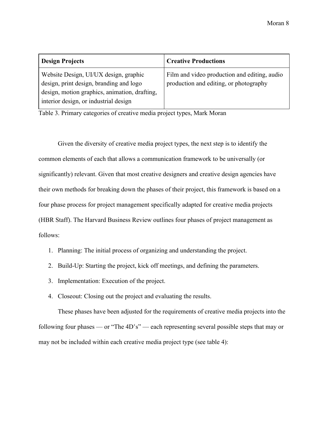| <b>Design Projects</b>                                                                                                                                                     | <b>Creative Productions</b>                                                            |
|----------------------------------------------------------------------------------------------------------------------------------------------------------------------------|----------------------------------------------------------------------------------------|
| Website Design, UI/UX design, graphic<br>design, print design, branding and logo<br>design, motion graphics, animation, drafting,<br>interior design, or industrial design | Film and video production and editing, audio<br>production and editing, or photography |

Table 3. Primary categories of creative media project types, Mark Moran

Given the diversity of creative media project types, the next step is to identify the common elements of each that allows a communication framework to be universally (or significantly) relevant. Given that most creative designers and creative design agencies have their own methods for breaking down the phases of their project, this framework is based on a four phase process for project management specifically adapted for creative media projects (HBR Staff). The Harvard Business Review outlines four phases of project management as follows:

- 1. Planning: The initial process of organizing and understanding the project.
- 2. Build-Up: Starting the project, kick off meetings, and defining the parameters.
- 3. Implementation: Execution of the project.
- 4. Closeout: Closing out the project and evaluating the results.

These phases have been adjusted for the requirements of creative media projects into the following four phases — or "The 4Dʻs" — each representing several possible steps that may or may not be included within each creative media project type (see table 4):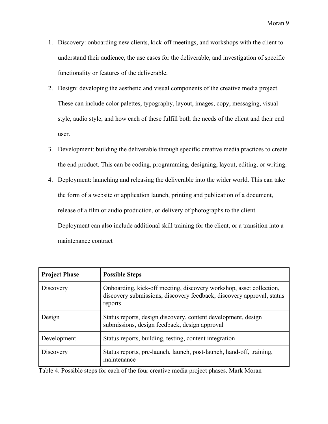- 1. Discovery: onboarding new clients, kick-off meetings, and workshops with the client to understand their audience, the use cases for the deliverable, and investigation of specific functionality or features of the deliverable.
- 2. Design: developing the aesthetic and visual components of the creative media project. These can include color palettes, typography, layout, images, copy, messaging, visual style, audio style, and how each of these fulfill both the needs of the client and their end user.
- 3. Development: building the deliverable through specific creative media practices to create the end product. This can be coding, programming, designing, layout, editing, or writing.
- 4. Deployment: launching and releasing the deliverable into the wider world. This can take the form of a website or application launch, printing and publication of a document, release of a film or audio production, or delivery of photographs to the client. Deployment can also include additional skill training for the client, or a transition into a maintenance contract

| <b>Project Phase</b> | <b>Possible Steps</b>                                                                                                                                   |
|----------------------|---------------------------------------------------------------------------------------------------------------------------------------------------------|
| Discovery            | Onboarding, kick-off meeting, discovery workshop, asset collection,<br>discovery submissions, discovery feedback, discovery approval, status<br>reports |
| Design               | Status reports, design discovery, content development, design<br>submissions, design feedback, design approval                                          |
| Development          | Status reports, building, testing, content integration                                                                                                  |
| Discovery            | Status reports, pre-launch, launch, post-launch, hand-off, training,<br>maintenance                                                                     |

Table 4. Possible steps for each of the four creative media project phases. Mark Moran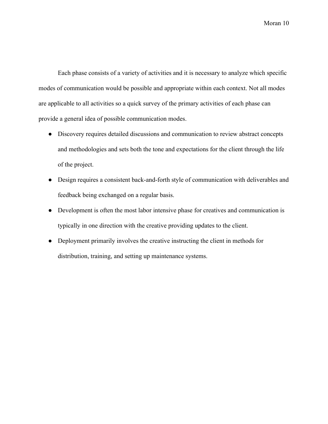Each phase consists of a variety of activities and it is necessary to analyze which specific modes of communication would be possible and appropriate within each context. Not all modes are applicable to all activities so a quick survey of the primary activities of each phase can provide a general idea of possible communication modes.

- Discovery requires detailed discussions and communication to review abstract concepts and methodologies and sets both the tone and expectations for the client through the life of the project.
- Design requires a consistent back-and-forth style of communication with deliverables and feedback being exchanged on a regular basis.
- Development is often the most labor intensive phase for creatives and communication is typically in one direction with the creative providing updates to the client.
- Deployment primarily involves the creative instructing the client in methods for distribution, training, and setting up maintenance systems.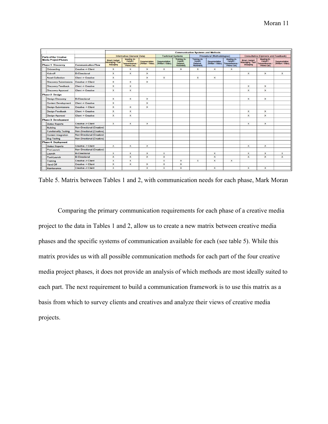|                              | <b>Communication Systems and Methods</b>        |                                                           |                                           |                                    |                                                           |                                                    |                                    |                                                           |                                                 |                                                             |                                    |  |
|------------------------------|-------------------------------------------------|-----------------------------------------------------------|-------------------------------------------|------------------------------------|-----------------------------------------------------------|----------------------------------------------------|------------------------------------|-----------------------------------------------------------|-------------------------------------------------|-------------------------------------------------------------|------------------------------------|--|
|                              |                                                 | Informative (General Data)                                |                                           |                                    | <b>Technical Systems</b>                                  |                                                    | Procedural (Methodologies)         |                                                           |                                                 | <b>Consultative (Opinions and Feedback)</b>                 |                                    |  |
| <b>Communication Flow</b>    | Email / Instant<br>Messaging / Text<br>Mesaging | Meeting (In-<br>Person /<br>Teleconference<br>Phone Call) | <b>Documentation</b><br>(Written / Video) | Documentation<br>(Written / Video) | Training (In-<br>Person,<br><b>Distance.</b><br>Recorded) | Training (In-<br>Person,<br>Distance.<br>Recorded) | Documentation<br>(Written / Video) | Meeting (In-<br>Person /<br>Teleconference<br>Phone Call) | Email / Instant<br>Messaging / Text<br>Mesaging | Meeting (In-<br>Person /<br>Teleconference /<br>Phone Call) | Documentation<br>(Written / Video) |  |
| Creative -> Client           | $\times$                                        | $\mathsf{x}$                                              | $\mathsf{x}$                              | $\times$                           | $\times$                                                  | $\mathbf{x}$                                       | $\mathbf{x}$                       | $\times$                                                  |                                                 |                                                             |                                    |  |
| <b>Bi-Directional</b>        | $\times$                                        | $\mathsf{x}$                                              | $\mathsf{x}$                              |                                    |                                                           |                                                    |                                    |                                                           | $\times$                                        | $\times$                                                    | $\mathsf{x}$                       |  |
| Client -> Creative           | $\times$                                        |                                                           | $\mathsf{x}$                              | $\mathbf{x}$                       |                                                           | $\mathbf{x}$                                       | $\mathbf x$                        |                                                           |                                                 |                                                             |                                    |  |
| Creative -> Client           | $\times$                                        | $\times$                                                  | $\mathsf{x}$                              |                                    |                                                           |                                                    |                                    |                                                           |                                                 |                                                             |                                    |  |
| <b>Client -&gt; Creative</b> | $\times$                                        | $\times$                                                  |                                           |                                    |                                                           |                                                    |                                    |                                                           | X                                               | $\times$                                                    |                                    |  |
| Client -> Creative           | $\times$                                        | $\times$                                                  |                                           |                                    |                                                           |                                                    |                                    |                                                           | $\times$                                        | $\times$                                                    |                                    |  |
|                              |                                                 |                                                           |                                           |                                    |                                                           |                                                    |                                    |                                                           |                                                 |                                                             |                                    |  |
| <b>Bi-Directional</b>        | $\times$                                        | $\times$                                                  | $\times$                                  |                                    |                                                           |                                                    |                                    |                                                           | $\times$                                        | $\times$                                                    |                                    |  |
| Client -> Creative           | $\times$                                        |                                                           | $\times$                                  |                                    |                                                           |                                                    |                                    |                                                           |                                                 |                                                             |                                    |  |
| Creative -> Client           | $\times$                                        | $\times$                                                  | $\times$                                  |                                    |                                                           |                                                    |                                    |                                                           |                                                 |                                                             |                                    |  |
| Client -> Creative           | $\times$                                        | $\times$                                                  |                                           |                                    |                                                           |                                                    |                                    |                                                           | $\times$                                        | X                                                           |                                    |  |
| Client -> Creative           | $\times$                                        | $\times$                                                  |                                           |                                    |                                                           |                                                    |                                    |                                                           | $\times$                                        | $\mathsf{x}$                                                |                                    |  |
|                              |                                                 |                                                           |                                           |                                    |                                                           |                                                    |                                    |                                                           |                                                 |                                                             |                                    |  |
| Creative -> Client           | $\times$                                        | $\times$                                                  | $\times$                                  |                                    |                                                           |                                                    |                                    |                                                           | $\times$                                        | $\times$                                                    |                                    |  |
| Non-Directional (Creative)   |                                                 |                                                           |                                           |                                    |                                                           |                                                    |                                    |                                                           |                                                 |                                                             |                                    |  |
| Non-Directional (Creative)   |                                                 |                                                           |                                           |                                    |                                                           |                                                    |                                    |                                                           |                                                 |                                                             |                                    |  |
| Non-Directional (Creative)   |                                                 |                                                           |                                           |                                    |                                                           |                                                    |                                    |                                                           |                                                 |                                                             |                                    |  |
| Non-Directional (Creative)   |                                                 |                                                           |                                           |                                    |                                                           |                                                    |                                    |                                                           |                                                 |                                                             |                                    |  |
|                              |                                                 |                                                           |                                           |                                    |                                                           |                                                    |                                    |                                                           |                                                 |                                                             |                                    |  |
| Creative -> Client           | $\mathbf{x}$                                    | $\times$                                                  | $\times$                                  |                                    |                                                           |                                                    |                                    |                                                           | $\times$                                        | $\times$                                                    |                                    |  |
| Non-Directional (Creative)   |                                                 |                                                           |                                           |                                    |                                                           |                                                    |                                    |                                                           |                                                 |                                                             |                                    |  |
| <b>Bi-Directional</b>        | $\times$                                        | X                                                         | $\times$                                  | X                                  |                                                           |                                                    | $\mathsf{x}$                       |                                                           | $\times$                                        | $\times$                                                    | $\times$                           |  |
| <b>Bi-Directional</b>        | $\mathsf{x}$                                    | $\times$                                                  | $\mathsf{x}$                              | $\mathsf{x}$                       |                                                           |                                                    | $\mathsf{x}$                       |                                                           | $\times$                                        | $\times$                                                    | $\mathsf{x}$                       |  |
| Creative -> Client           | $\mathsf{x}$                                    | $\times$                                                  |                                           | $\mathsf{x}$                       | $\mathsf{x}$                                              | $\mathsf{x}$                                       | $\mathbf{x}$                       | $\times$                                                  |                                                 |                                                             |                                    |  |
| Creative -> Client           | $\mathsf{x}$                                    | $\times$                                                  | $\times$                                  | $\mathsf{x}$                       | X                                                         |                                                    |                                    |                                                           |                                                 |                                                             |                                    |  |
| Creative -> Client           | $\times$                                        |                                                           | $\times$                                  | X                                  | $\times$                                                  |                                                    | $\times$                           |                                                           | $\times$                                        | $\mathsf{x}$                                                |                                    |  |
|                              |                                                 |                                                           |                                           |                                    |                                                           |                                                    |                                    |                                                           |                                                 |                                                             |                                    |  |

Table 5. Matrix between Tables 1 and 2, with communication needs for each phase, Mark Moran

Comparing the primary communication requirements for each phase of a creative media project to the data in Tables 1 and 2, allow us to create a new matrix between creative media phases and the specific systems of communication available for each (see table 5). While this matrix provides us with all possible communication methods for each part of the four creative media project phases, it does not provide an analysis of which methods are most ideally suited to each part. The next requirement to build a communication framework is to use this matrix as a basis from which to survey clients and creatives and analyze their views of creative media projects.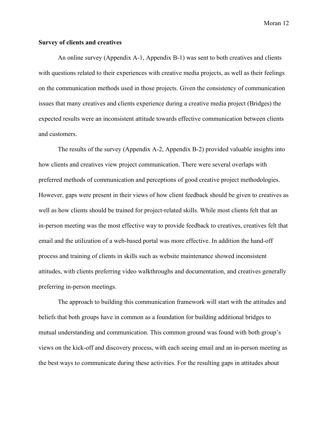### **Survey of clients and creatives**

An online survey (Appendix A-1, Appendix B-1) was sent to both creatives and clients with questions related to their experiences with creative media projects, as well as their feelings on the communication methods used in those projects. Given the consistency of communication issues that many creatives and clients experience during a creative media project (Bridges) the expected results were an inconsistent attitude towards effective communication between clients and customers.

The results of the survey (Appendix A-2, Appendix B-2) provided valuable insights into how clients and creatives view project communication. There were several overlaps with preferred methods of communication and perceptions of good creative project methodologies. However, gaps were present in their views of how client feedback should be given to creatives as well as how clients should be trained for project-related skills. While most clients felt that an in-person meeting was the most effective way to provide feedback to creatives, creatives felt that email and the utilization of a web-based portal was more effective. In addition the hand-off process and training of clients in skills such as website maintenance showed inconsistent attitudes, with clients preferring video walkthroughs and documentation, and creatives generally preferring in-person meetings.

The approach to building this communication framework will start with the attitudes and beliefs that both groups have in common as a foundation for building additional bridges to mutual understanding and communication. This common ground was found with both group's views on the kick-off and discovery process, with each seeing email and an in-person meeting as the best ways to communicate during these activities. For the resulting gaps in attitudes about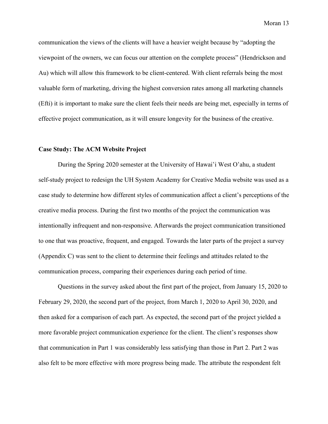communication the views of the clients will have a heavier weight because by "adopting the viewpoint of the owners, we can focus our attention on the complete process" (Hendrickson and Au) which will allow this framework to be client-centered. With client referrals being the most valuable form of marketing, driving the highest conversion rates among all marketing channels (Efti) it is important to make sure the client feels their needs are being met, especially in terms of effective project communication, as it will ensure longevity for the business of the creative.

### **Case Study: The ACM Website Project**

During the Spring 2020 semester at the University of Hawaiʻi West Oʻahu, a student self-study project to redesign the UH System Academy for Creative Media website was used as a case study to determine how different styles of communication affect a client's perceptions of the creative media process. During the first two months of the project the communication was intentionally infrequent and non-responsive. Afterwards the project communication transitioned to one that was proactive, frequent, and engaged. Towards the later parts of the project a survey (Appendix C) was sent to the client to determine their feelings and attitudes related to the communication process, comparing their experiences during each period of time.

Questions in the survey asked about the first part of the project, from January 15, 2020 to February 29, 2020, the second part of the project, from March 1, 2020 to April 30, 2020, and then asked for a comparison of each part. As expected, the second part of the project yielded a more favorable project communication experience for the client. The client's responses show that communication in Part 1 was considerably less satisfying than those in Part 2. Part 2 was also felt to be more effective with more progress being made. The attribute the respondent felt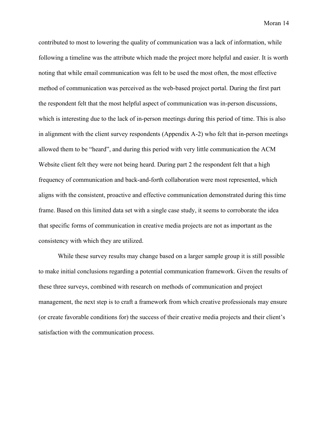contributed to most to lowering the quality of communication was a lack of information, while following a timeline was the attribute which made the project more helpful and easier. It is worth noting that while email communication was felt to be used the most often, the most effective method of communication was perceived as the web-based project portal. During the first part the respondent felt that the most helpful aspect of communication was in-person discussions, which is interesting due to the lack of in-person meetings during this period of time. This is also in alignment with the client survey respondents (Appendix A-2) who felt that in-person meetings allowed them to be "heard", and during this period with very little communication the ACM Website client felt they were not being heard. During part 2 the respondent felt that a high frequency of communication and back-and-forth collaboration were most represented, which aligns with the consistent, proactive and effective communication demonstrated during this time frame. Based on this limited data set with a single case study, it seems to corroborate the idea that specific forms of communication in creative media projects are not as important as the consistency with which they are utilized.

While these survey results may change based on a larger sample group it is still possible to make initial conclusions regarding a potential communication framework. Given the results of these three surveys, combined with research on methods of communication and project management, the next step is to craft a framework from which creative professionals may ensure (or create favorable conditions for) the success of their creative media projects and their client's satisfaction with the communication process.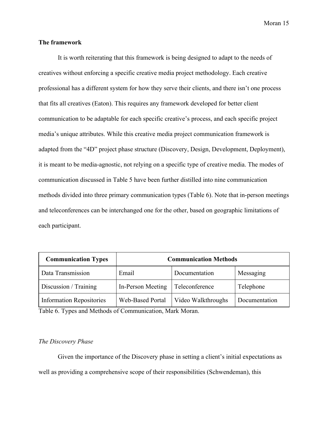## **The framework**

It is worth reiterating that this framework is being designed to adapt to the needs of creatives without enforcing a specific creative media project methodology. Each creative professional has a different system for how they serve their clients, and there isn't one process that fits all creatives (Eaton). This requires any framework developed for better client communication to be adaptable for each specific creative's process, and each specific project media's unique attributes. While this creative media project communication framework is adapted from the "4D" project phase structure (Discovery, Design, Development, Deployment), it is meant to be media-agnostic, not relying on a specific type of creative media. The modes of communication discussed in Table 5 have been further distilled into nine communication methods divided into three primary communication types (Table 6). Note that in-person meetings and teleconferences can be interchanged one for the other, based on geographic limitations of each participant.

| <b>Communication Types</b>      | <b>Communication Methods</b> |                    |               |  |  |  |
|---------------------------------|------------------------------|--------------------|---------------|--|--|--|
| Data Transmission               | Email                        | Documentation      | Messaging     |  |  |  |
| Discussion / Training           | In-Person Meeting            | Teleconference     | Telephone     |  |  |  |
| <b>Information Repositories</b> | Web-Based Portal             | Video Walkthroughs | Documentation |  |  |  |

Table 6. Types and Methods of Communication, Mark Moran.

# *The Discovery Phase*

Given the importance of the Discovery phase in setting a client's initial expectations as well as providing a comprehensive scope of their responsibilities (Schwendeman), this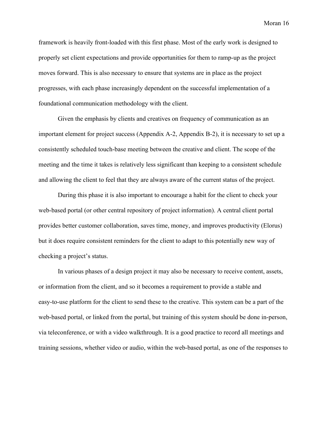framework is heavily front-loaded with this first phase. Most of the early work is designed to properly set client expectations and provide opportunities for them to ramp-up as the project moves forward. This is also necessary to ensure that systems are in place as the project progresses, with each phase increasingly dependent on the successful implementation of a foundational communication methodology with the client.

Given the emphasis by clients and creatives on frequency of communication as an important element for project success (Appendix A-2, Appendix B-2), it is necessary to set up a consistently scheduled touch-base meeting between the creative and client. The scope of the meeting and the time it takes is relatively less significant than keeping to a consistent schedule and allowing the client to feel that they are always aware of the current status of the project.

During this phase it is also important to encourage a habit for the client to check your web-based portal (or other central repository of project information). A central client portal provides better customer collaboration, saves time, money, and improves productivity (Elorus) but it does require consistent reminders for the client to adapt to this potentially new way of checking a project's status.

In various phases of a design project it may also be necessary to receive content, assets, or information from the client, and so it becomes a requirement to provide a stable and easy-to-use platform for the client to send these to the creative. This system can be a part of the web-based portal, or linked from the portal, but training of this system should be done in-person, via teleconference, or with a video walkthrough. It is a good practice to record all meetings and training sessions, whether video or audio, within the web-based portal, as one of the responses to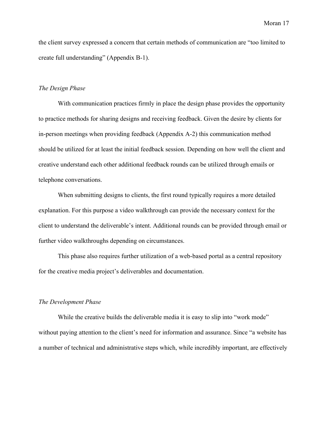the client survey expressed a concern that certain methods of communication are "too limited to create full understanding" (Appendix B-1).

## *The Design Phase*

With communication practices firmly in place the design phase provides the opportunity to practice methods for sharing designs and receiving feedback. Given the desire by clients for in-person meetings when providing feedback (Appendix A-2) this communication method should be utilized for at least the initial feedback session. Depending on how well the client and creative understand each other additional feedback rounds can be utilized through emails or telephone conversations.

When submitting designs to clients, the first round typically requires a more detailed explanation. For this purpose a video walkthrough can provide the necessary context for the client to understand the deliverable's intent. Additional rounds can be provided through email or further video walkthroughs depending on circumstances.

This phase also requires further utilization of a web-based portal as a central repository for the creative media project's deliverables and documentation.

## *The Development Phase*

While the creative builds the deliverable media it is easy to slip into "work mode" without paying attention to the client's need for information and assurance. Since "a website has a number of technical and administrative steps which, while incredibly important, are effectively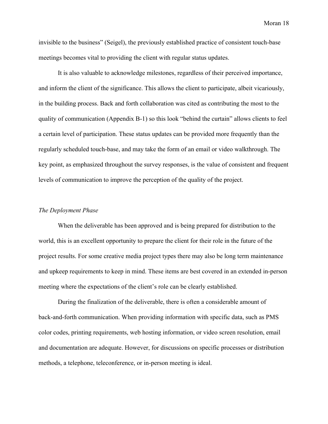invisible to the business" (Seigel), the previously established practice of consistent touch-base meetings becomes vital to providing the client with regular status updates.

It is also valuable to acknowledge milestones, regardless of their perceived importance, and inform the client of the significance. This allows the client to participate, albeit vicariously, in the building process. Back and forth collaboration was cited as contributing the most to the quality of communication (Appendix B-1) so this look "behind the curtain" allows clients to feel a certain level of participation. These status updates can be provided more frequently than the regularly scheduled touch-base, and may take the form of an email or video walkthrough. The key point, as emphasized throughout the survey responses, is the value of consistent and frequent levels of communication to improve the perception of the quality of the project.

## *The Deployment Phase*

When the deliverable has been approved and is being prepared for distribution to the world, this is an excellent opportunity to prepare the client for their role in the future of the project results. For some creative media project types there may also be long term maintenance and upkeep requirements to keep in mind. These items are best covered in an extended in-person meeting where the expectations of the client's role can be clearly established.

During the finalization of the deliverable, there is often a considerable amount of back-and-forth communication. When providing information with specific data, such as PMS color codes, printing requirements, web hosting information, or video screen resolution, email and documentation are adequate. However, for discussions on specific processes or distribution methods, a telephone, teleconference, or in-person meeting is ideal.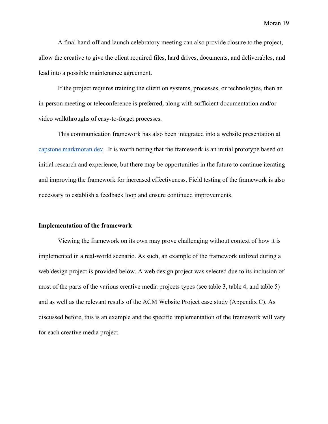A final hand-off and launch celebratory meeting can also provide closure to the project, allow the creative to give the client required files, hard drives, documents, and deliverables, and lead into a possible maintenance agreement.

If the project requires training the client on systems, processes, or technologies, then an in-person meeting or teleconference is preferred, along with sufficient documentation and/or video walkthroughs of easy-to-forget processes.

This communication framework has also been integrated into a website presentation at [capstone.markmoran.dev.](http://capstone.markmoran.dev/) It is worth noting that the framework is an initial prototype based on initial research and experience, but there may be opportunities in the future to continue iterating and improving the framework for increased effectiveness. Field testing of the framework is also necessary to establish a feedback loop and ensure continued improvements.

### **Implementation of the framework**

Viewing the framework on its own may prove challenging without context of how it is implemented in a real-world scenario. As such, an example of the framework utilized during a web design project is provided below. A web design project was selected due to its inclusion of most of the parts of the various creative media projects types (see table 3, table 4, and table 5) and as well as the relevant results of the ACM Website Project case study (Appendix C). As discussed before, this is an example and the specific implementation of the framework will vary for each creative media project.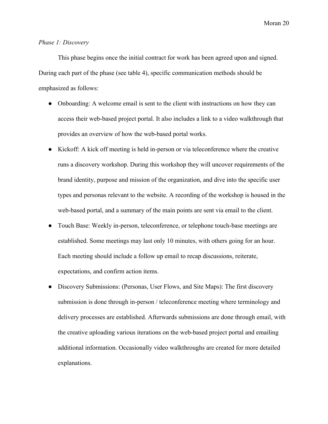## *Phase 1: Discovery*

This phase begins once the initial contract for work has been agreed upon and signed. During each part of the phase (see table 4), specific communication methods should be emphasized as follows:

- Onboarding: A welcome email is sent to the client with instructions on how they can access their web-based project portal. It also includes a link to a video walkthrough that provides an overview of how the web-based portal works.
- Kickoff: A kick off meeting is held in-person or via teleconference where the creative runs a discovery workshop. During this workshop they will uncover requirements of the brand identity, purpose and mission of the organization, and dive into the specific user types and personas relevant to the website. A recording of the workshop is housed in the web-based portal, and a summary of the main points are sent via email to the client.
- Touch Base: Weekly in-person, teleconference, or telephone touch-base meetings are established. Some meetings may last only 10 minutes, with others going for an hour. Each meeting should include a follow up email to recap discussions, reiterate, expectations, and confirm action items.
- Discovery Submissions: (Personas, User Flows, and Site Maps): The first discovery submission is done through in-person / teleconference meeting where terminology and delivery processes are established. Afterwards submissions are done through email, with the creative uploading various iterations on the web-based project portal and emailing additional information. Occasionally video walkthroughs are created for more detailed explanations.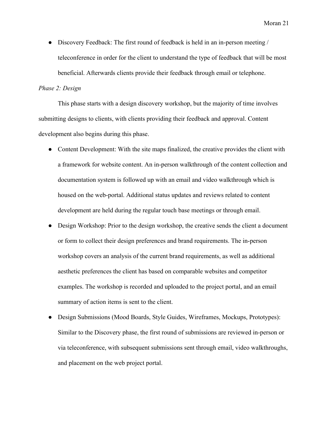• Discovery Feedback: The first round of feedback is held in an in-person meeting / teleconference in order for the client to understand the type of feedback that will be most beneficial. Afterwards clients provide their feedback through email or telephone.

## *Phase 2: Design*

This phase starts with a design discovery workshop, but the majority of time involves submitting designs to clients, with clients providing their feedback and approval. Content development also begins during this phase.

- Content Development: With the site maps finalized, the creative provides the client with a framework for website content. An in-person walkthrough of the content collection and documentation system is followed up with an email and video walkthrough which is housed on the web-portal. Additional status updates and reviews related to content development are held during the regular touch base meetings or through email.
- Design Workshop: Prior to the design workshop, the creative sends the client a document or form to collect their design preferences and brand requirements. The in-person workshop covers an analysis of the current brand requirements, as well as additional aesthetic preferences the client has based on comparable websites and competitor examples. The workshop is recorded and uploaded to the project portal, and an email summary of action items is sent to the client.
- Design Submissions (Mood Boards, Style Guides, Wireframes, Mockups, Prototypes): Similar to the Discovery phase, the first round of submissions are reviewed in-person or via teleconference, with subsequent submissions sent through email, video walkthroughs, and placement on the web project portal.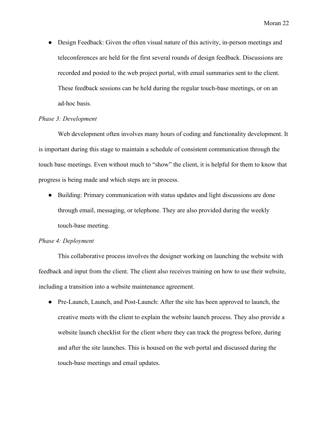• Design Feedback: Given the often visual nature of this activity, in-person meetings and teleconferences are held for the first several rounds of design feedback. Discussions are recorded and posted to the web project portal, with email summaries sent to the client. These feedback sessions can be held during the regular touch-base meetings, or on an ad-hoc basis.

#### *Phase 3: Development*

Web development often involves many hours of coding and functionality development. It is important during this stage to maintain a schedule of consistent communication through the touch base meetings. Even without much to "show" the client, it is helpful for them to know that progress is being made and which steps are in process.

● Building: Primary communication with status updates and light discussions are done through email, messaging, or telephone. They are also provided during the weekly touch-base meeting.

#### *Phase 4: Deployment*

This collaborative process involves the designer working on launching the website with feedback and input from the client. The client also receives training on how to use their website, including a transition into a website maintenance agreement.

• Pre-Launch, Launch, and Post-Launch: After the site has been approved to launch, the creative meets with the client to explain the website launch process. They also provide a website launch checklist for the client where they can track the progress before, during and after the site launches. This is housed on the web portal and discussed during the touch-base meetings and email updates.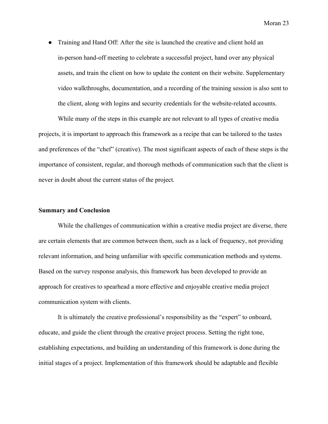● Training and Hand Off: After the site is launched the creative and client hold an in-person hand-off meeting to celebrate a successful project, hand over any physical assets, and train the client on how to update the content on their website. Supplementary video walkthroughs, documentation, and a recording of the training session is also sent to the client, along with logins and security credentials for the website-related accounts.

While many of the steps in this example are not relevant to all types of creative media projects, it is important to approach this framework as a recipe that can be tailored to the tastes and preferences of the "chef" (creative). The most significant aspects of each of these steps is the importance of consistent, regular, and thorough methods of communication such that the client is never in doubt about the current status of the project.

#### **Summary and Conclusion**

While the challenges of communication within a creative media project are diverse, there are certain elements that are common between them, such as a lack of frequency, not providing relevant information, and being unfamiliar with specific communication methods and systems. Based on the survey response analysis, this framework has been developed to provide an approach for creatives to spearhead a more effective and enjoyable creative media project communication system with clients.

It is ultimately the creative professional's responsibility as the "expert" to onboard, educate, and guide the client through the creative project process. Setting the right tone, establishing expectations, and building an understanding of this framework is done during the initial stages of a project. Implementation of this framework should be adaptable and flexible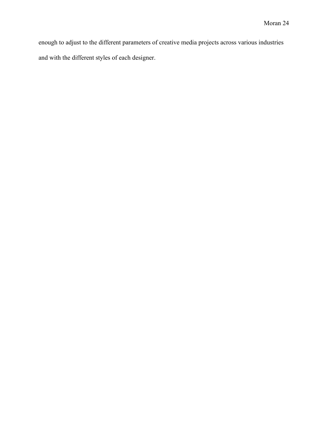enough to adjust to the different parameters of creative media projects across various industries and with the different styles of each designer.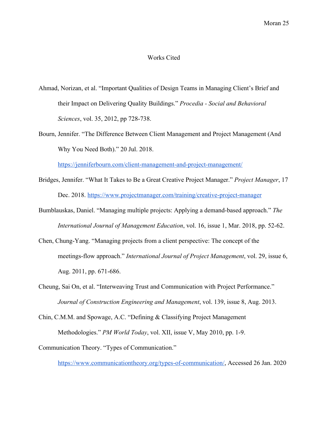### Works Cited

- Ahmad, Norizan, et al. "Important Qualities of Design Teams in Managing Client's Brief and their Impact on Delivering Quality Buildings." *Procedia - Social and Behavioral Sciences*, vol. 35, 2012, pp 728-738.
- Bourn, Jennifer. "The Difference Between Client Management and Project Management (And Why You Need Both)." 20 Jul. 2018.

<https://jenniferbourn.com/client-management-and-project-management/>

- Bridges, Jennifer. "What It Takes to Be a Great Creative Project Manager." *Project Manager*, 17 Dec. 2018. <https://www.projectmanager.com/training/creative-project-manager>
- Bumblauskas, Daniel. "Managing multiple projects: Applying a demand-based approach." *The International Journal of Management Education*, vol. 16, issue 1, Mar. 2018, pp. 52-62.
- Chen, Chung-Yang. "Managing projects from a client perspective: The concept of the meetings-flow approach." *International Journal of Project Management*, vol. 29, issue 6, Aug. 2011, pp. 671-686.
- Cheung, Sai On, et al. "Interweaving Trust and Communication with Project Performance." *Journal of Construction Engineering and Management*, vol. 139, issue 8, Aug. 2013.
- Chin, C.M.M. and Spowage, A.C. "Defining & Classifying Project Management Methodologies." *PM World Today*, vol. XII, issue V, May 2010, pp. 1-9.

Communication Theory. "Types of Communication."

<https://www.communicationtheory.org/types-of-communication/>, Accessed 26 Jan. 2020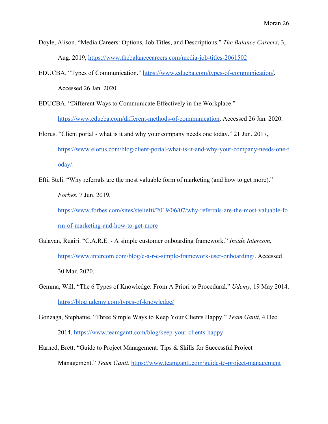- Doyle, Alison. "Media Careers: Options, Job Titles, and Descriptions." *The Balance Careers*, 3, Aug. 2019, <https://www.thebalancecareers.com/media-job-titles-2061502>
- EDUCBA. "Types of Communication." [https://www.educba.com/types-of-communication/.](https://www.educba.com/types-of-communication/) Accessed 26 Jan. 2020.

EDUCBA. "Different Ways to Communicate Effectively in the Workplace." [https://www.educba.com/different-methods-of-communication.](https://www.educba.com/different-methods-of-communication/) Accessed 26 Jan. 2020.

- Elorus. "Client portal what is it and why your company needs one today." 21 Jun. 2017, [https://www.elorus.com/blog/client-portal-what-is-it-and-why-your-company-needs-one-t](https://www.elorus.com/blog/client-portal-what-is-it-and-why-your-company-needs-one-today/) [oday/.](https://www.elorus.com/blog/client-portal-what-is-it-and-why-your-company-needs-one-today/)
- Efti, Steli. "Why referrals are the most valuable form of marketing (and how to get more)."

*Forbes*, 7 Jun. 2019,

[https://www.forbes.com/sites/steliefti/2019/06/07/why-referrals-are-the-most-valuable-fo](https://www.forbes.com/sites/steliefti/2019/06/07/why-referrals-are-the-most-valuable-form-of-marketing-and-how-to-get-more)

[rm-of-marketing-and-how-to-get-more](https://www.forbes.com/sites/steliefti/2019/06/07/why-referrals-are-the-most-valuable-form-of-marketing-and-how-to-get-more)

- Galavan, Ruairi. "C.A.R.E. A simple customer onboarding framework." *Inside Intercom*, [https://www.intercom.com/blog/c-a-r-e-simple-framework-user-onboarding/.](https://www.intercom.com/blog/c-a-r-e-simple-framework-user-onboarding/) Accessed 30 Mar. 2020.
- Gemma, Will. "The 6 Types of Knowledge: From A Priori to Procedural." *Udemy*, 19 May 2014. <https://blog.udemy.com/types-of-knowledge/>
- Gonzaga, Stephanie. "Three Simple Ways to Keep Your Clients Happy." *Team Gantt*, 4 Dec. 2014. <https://www.teamgantt.com/blog/keep-your-clients-happy>

Harned, Brett. "Guide to Project Management: Tips & Skills for Successful Project

Management." *Team Gantt*. <https://www.teamgantt.com/guide-to-project-management>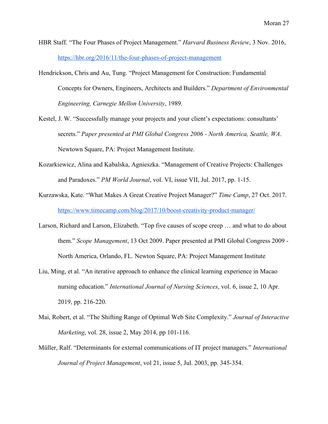- HBR Staff. "The Four Phases of Project Management." *Harvard Business Review*, 3 Nov. 2016, <https://hbr.org/2016/11/the-four-phases-of-project-management>
- Hendrickson, Chris and Au, Tung. "Project Management for Construction: Fundamental Concepts for Owners, Engineers, Architects and Builders." *Department of Environmental Engineering, Carnegie Mellon University*, 1989.
- Kestel, J. W. "Successfully manage your projects and your client's expectations: consultants' secrets." *Paper presented at PMI Global Congress 2006 - North America, Seattle, WA*. Newtown Square, PA: Project Management Institute.
- Kozarkiewicz, Alina and Kabalska, Agnieszka. "Management of Creative Projects: Challenges and Paradoxes." *PM World Journal*, vol. VI, issue VII, Jul. 2017, pp. 1-15.
- Kurzawska, Kate. "What Makes A Great Creative Project Manager?" *Time Camp*, 27 Oct. 2017. <https://www.timecamp.com/blog/2017/10/boost-creativity-product-manager/>
- Larson, Richard and Larson, Elizabeth. "Top five causes of scope creep … and what to do about them." *Scope Management*, 13 Oct 2009. Paper presented at PMI Global Congress 2009 - North America, Orlando, FL. Newton Square, PA: Project Management Institute
- Liu, Ming, et al. "An iterative approach to enhance the clinical learning experience in Macao nursing education." *International Journal of Nursing Sciences*, vol. 6, issue 2, 10 Apr. 2019, pp. 216-220.
- Mai, Robert, et al. "The Shifting Range of Optimal Web Site Complexity." *Journal of Interactive Marketing*, vol. 28, issue 2, May 2014, pp 101-116.
- Müller, Ralf. "Determinants for external communications of IT project managers." *International Journal of Project Management*, vol 21, issue 5, Jul. 2003, pp. 345-354.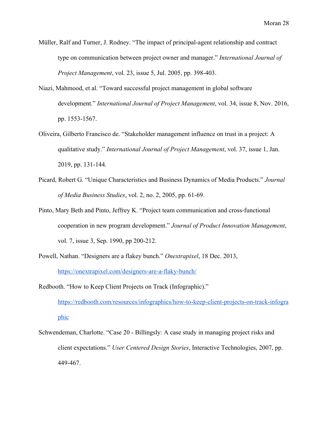- Müller, Ralf and Turner, J. Rodney. "The impact of principal-agent relationship and contract type on communication between project owner and manager." *International Journal of Project Management*, vol. 23, issue 5, Jul. 2005, pp. 398-403.
- Niazi, Mahmood, et al. "Toward successful project management in global software development." *International Journal of Project Management*, vol. 34, issue 8, Nov. 2016, pp. 1553-1567.
- Oliveira, Gilberto Francisco de. "Stakeholder management influence on trust in a project: A qualitative study." *International Journal of Project Management*, vol. 37, issue 1, Jan. 2019, pp. 131-144.
- Picard, Robert G. "Unique Characteristics and Business Dynamics of Media Products." *Journal of Media Business Studies*, vol. 2, no. 2, 2005, pp. 61-69.
- Pinto, Mary Beth and Pinto, Jeffrey K. "Project team communication and cross-functional cooperation in new program development." *Journal of Product Innovation Management*, vol. 7, issue 3, Sep. 1990, pp 200-212.
- Powell, Nathan. "Designers are a flakey bunch." *Onextrapixel*, 18 Dec. 2013, <https://onextrapixel.com/designers-are-a-flaky-bunch/>
- Redbooth. "How to Keep Client Projects on Track (Infographic)." [https://redbooth.com/resources/infographics/how-to-keep-client-projects-on-track-infogra](https://redbooth.com/resources/infographics/how-to-keep-client-projects-on-track-infographic) [phic](https://redbooth.com/resources/infographics/how-to-keep-client-projects-on-track-infographic)
- Schwendeman, Charlotte. "Case 20 Billingsly: A case study in managing project risks and client expectations." *User Centered Design Stories*, Interactive Technologies, 2007, pp. 449-467.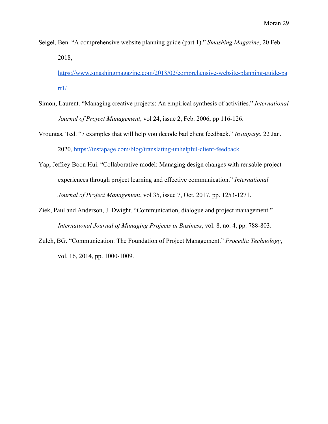Seigel, Ben. "A comprehensive website planning guide (part 1)." *Smashing Magazine*, 20 Feb. 2018,

[https://www.smashingmagazine.com/2018/02/comprehensive-website-planning-guide-pa](https://www.smashingmagazine.com/2018/02/comprehensive-website-planning-guide-part1/) [rt1/](https://www.smashingmagazine.com/2018/02/comprehensive-website-planning-guide-part1/)

- Simon, Laurent. "Managing creative projects: An empirical synthesis of activities." *International Journal of Project Management*, vol 24, issue 2, Feb. 2006, pp 116-126.
- Vrountas, Ted. "7 examples that will help you decode bad client feedback." *Instapage*, 22 Jan. 2020, <https://instapage.com/blog/translating-unhelpful-client-feedback>
- Yap, Jeffrey Boon Hui. "Collaborative model: Managing design changes with reusable project experiences through project learning and effective communication." *International Journal of Project Management*, vol 35, issue 7, Oct. 2017, pp. 1253-1271.
- Ziek, Paul and Anderson, J. Dwight. "Communication, dialogue and project management." *International Journal of Managing Projects in Business*, vol. 8, no. 4, pp. 788-803.
- Zulch, BG. "Communication: The Foundation of Project Management." *Procedia Technology*, vol. 16, 2014, pp. 1000-1009.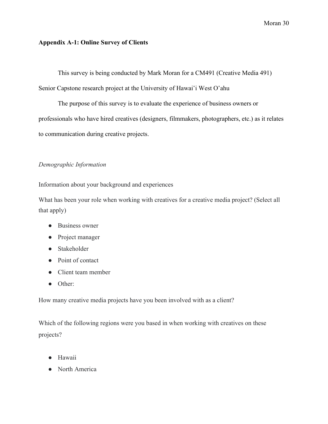# **Appendix A-1: Online Survey of Clients**

This survey is being conducted by Mark Moran for a CM491 (Creative Media 491)

Senior Capstone research project at the University of Hawaiʻi West Oʻahu

The purpose of this survey is to evaluate the experience of business owners or professionals who have hired creatives (designers, filmmakers, photographers, etc.) as it relates to communication during creative projects.

# *Demographic Information*

Information about your background and experiences

What has been your role when working with creatives for a creative media project? (Select all that apply)

- Business owner
- Project manager
- Stakeholder
- Point of contact
- Client team member
- Other:

How many creative media projects have you been involved with as a client?

Which of the following regions were you based in when working with creatives on these projects?

- Hawaii
- North America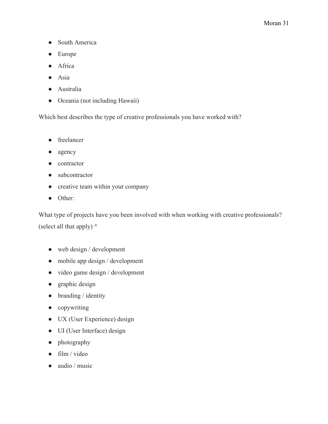- South America
- Europe
- Africa
- Asia
- Australia
- Oceania (not including Hawaii)

Which best describes the type of creative professionals you have worked with?

- freelancer
- agency
- contractor
- subcontractor
- creative team within your company
- Other:

What type of projects have you been involved with when working with creative professionals? (select all that apply) \*

- $\bullet$  web design / development
- mobile app design / development
- video game design / development
- graphic design
- branding / identity
- copywriting
- UX (User Experience) design
- UI (User Interface) design
- photography
- $\bullet$  film / video
- audio / music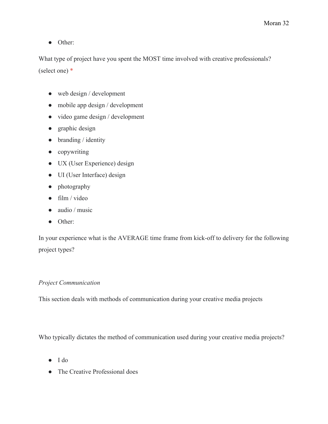● Other:

What type of project have you spent the MOST time involved with creative professionals? (select one) \*

- $\bullet$  web design / development
- $\bullet$  mobile app design / development
- video game design / development
- graphic design
- branding / identity
- copywriting
- UX (User Experience) design
- UI (User Interface) design
- photography
- $\bullet$  film / video
- audio / music
- Other:

In your experience what is the AVERAGE time frame from kick-off to delivery for the following project types?

# *Project Communication*

This section deals with methods of communication during your creative media projects

Who typically dictates the method of communication used during your creative media projects?

- I do
- The Creative Professional does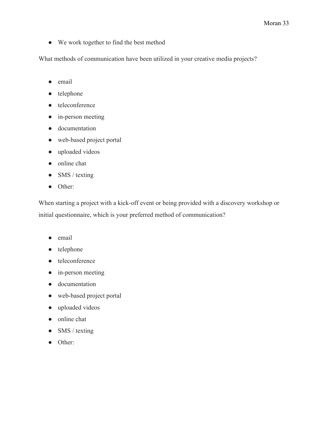● We work together to find the best method

What methods of communication have been utilized in your creative media projects?

- email
- telephone
- teleconference
- in-person meeting
- documentation
- web-based project portal
- uploaded videos
- online chat
- SMS / texting
- Other:

When starting a project with a kick-off event or being provided with a discovery workshop or initial questionnaire, which is your preferred method of communication?

- email
- telephone
- teleconference
- in-person meeting
- documentation
- web-based project portal
- uploaded videos
- online chat
- SMS / texting
- Other: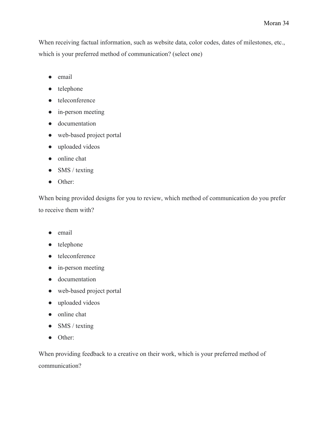When receiving factual information, such as website data, color codes, dates of milestones, etc., which is your preferred method of communication? (select one)

- email
- telephone
- teleconference
- in-person meeting
- documentation
- web-based project portal
- uploaded videos
- online chat
- SMS / texting
- Other:

When being provided designs for you to review, which method of communication do you prefer to receive them with?

- email
- telephone
- teleconference
- in-person meeting
- documentation
- web-based project portal
- uploaded videos
- online chat
- SMS / texting
- Other:

When providing feedback to a creative on their work, which is your preferred method of communication?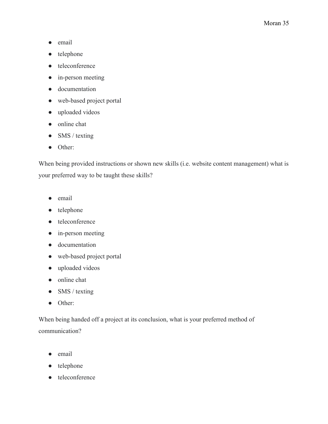- email
- telephone
- teleconference
- in-person meeting
- documentation
- web-based project portal
- uploaded videos
- online chat
- SMS / texting
- Other:

When being provided instructions or shown new skills (i.e. website content management) what is your preferred way to be taught these skills?

- email
- telephone
- teleconference
- in-person meeting
- documentation
- web-based project portal
- uploaded videos
- online chat
- SMS / texting
- Other:

When being handed off a project at its conclusion, what is your preferred method of communication?

- email
- telephone
- teleconference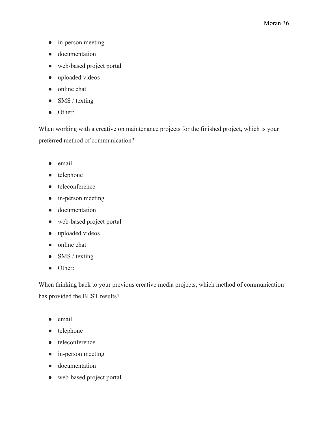- in-person meeting
- documentation
- web-based project portal
- uploaded videos
- online chat
- SMS / texting
- Other:

When working with a creative on maintenance projects for the finished project, which is your preferred method of communication?

- email
- telephone
- teleconference
- in-person meeting
- documentation
- web-based project portal
- uploaded videos
- online chat
- SMS / texting
- Other:

When thinking back to your previous creative media projects, which method of communication has provided the BEST results?

- email
- telephone
- teleconference
- in-person meeting
- documentation
- web-based project portal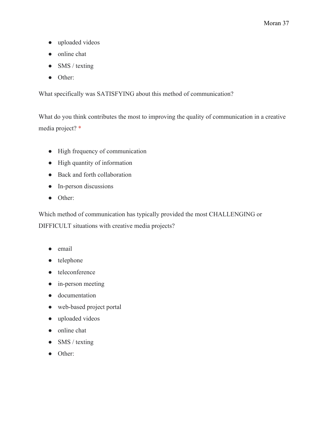- uploaded videos
- online chat
- SMS / texting
- Other:

What specifically was SATISFYING about this method of communication?

What do you think contributes the most to improving the quality of communication in a creative media project? \*

- High frequency of communication
- High quantity of information
- Back and forth collaboration
- In-person discussions
- Other:

Which method of communication has typically provided the most CHALLENGING or DIFFICULT situations with creative media projects?

- email
- telephone
- teleconference
- in-person meeting
- documentation
- web-based project portal
- uploaded videos
- online chat
- SMS / texting
- Other: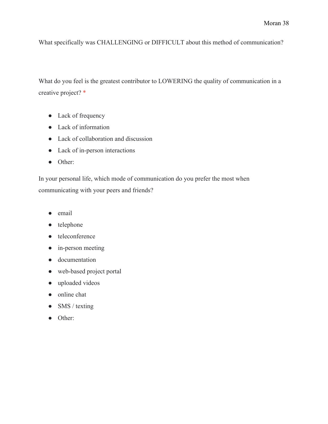What specifically was CHALLENGING or DIFFICULT about this method of communication?

What do you feel is the greatest contributor to LOWERING the quality of communication in a creative project? \*

- Lack of frequency
- Lack of information
- Lack of collaboration and discussion
- Lack of in-person interactions
- Other:

In your personal life, which mode of communication do you prefer the most when communicating with your peers and friends?

- email
- telephone
- teleconference
- in-person meeting
- documentation
- web-based project portal
- uploaded videos
- online chat
- SMS / texting
- Other: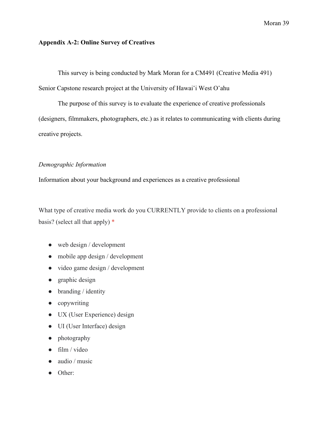#### Moran 39

# **Appendix A-2: Online Survey of Creatives**

This survey is being conducted by Mark Moran for a CM491 (Creative Media 491)

Senior Capstone research project at the University of Hawaiʻi West Oʻahu

The purpose of this survey is to evaluate the experience of creative professionals (designers, filmmakers, photographers, etc.) as it relates to communicating with clients during creative projects.

## *Demographic Information*

Information about your background and experiences as a creative professional

What type of creative media work do you CURRENTLY provide to clients on a professional basis? (select all that apply) \*

- $\bullet$  web design / development
- mobile app design / development
- video game design / development
- graphic design
- branding / identity
- copywriting
- UX (User Experience) design
- UI (User Interface) design
- photography
- $\bullet$  film / video
- audio / music
- Other: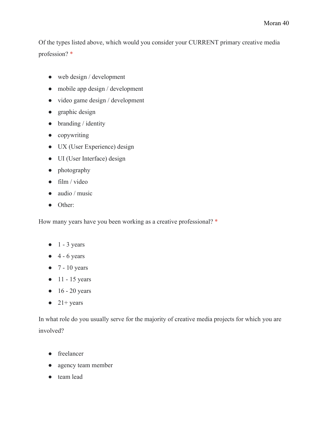Of the types listed above, which would you consider your CURRENT primary creative media profession? \*

- $\bullet$  web design / development
- mobile app design / development
- video game design / development
- graphic design
- branding / identity
- copywriting
- UX (User Experience) design
- UI (User Interface) design
- photography
- film / video
- audio / music
- Other:

How many years have you been working as a creative professional? \*

- $\bullet$  1 3 years
- $\bullet$  4 6 years
- $\bullet$  7 10 years
- $\bullet$  11 15 years
- $\bullet$  16 20 years
- $\bullet$  21+ years

In what role do you usually serve for the majority of creative media projects for which you are involved?

- freelancer
- agency team member
- team lead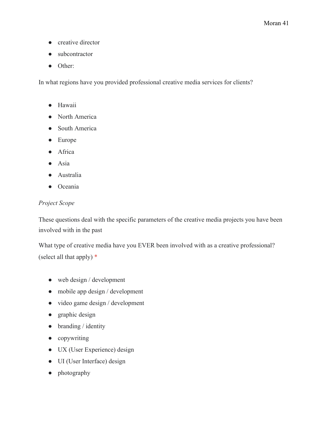- creative director
- subcontractor
- Other:

In what regions have you provided professional creative media services for clients?

- Hawaii
- North America
- South America
- Europe
- Africa
- Asia
- Australia
- Oceania

# *Project Scope*

These questions deal with the specific parameters of the creative media projects you have been involved with in the past

What type of creative media have you EVER been involved with as a creative professional? (select all that apply) \*

- $\bullet$  web design / development
- mobile app design / development
- video game design / development
- graphic design
- branding / identity
- copywriting
- UX (User Experience) design
- UI (User Interface) design
- photography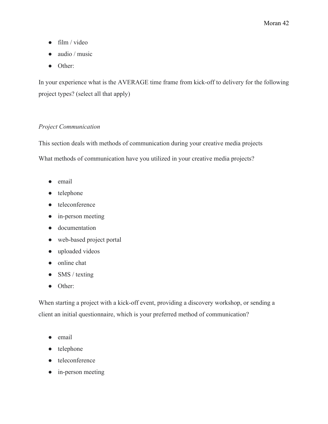- film / video
- audio / music
- Other:

In your experience what is the AVERAGE time frame from kick-off to delivery for the following project types? (select all that apply)

# *Project Communication*

This section deals with methods of communication during your creative media projects What methods of communication have you utilized in your creative media projects?

- email
- telephone
- teleconference
- in-person meeting
- documentation
- web-based project portal
- uploaded videos
- online chat
- SMS / texting
- Other:

When starting a project with a kick-off event, providing a discovery workshop, or sending a client an initial questionnaire, which is your preferred method of communication?

- email
- telephone
- teleconference
- in-person meeting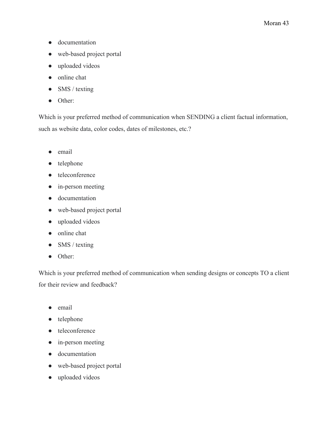- documentation
- web-based project portal
- uploaded videos
- online chat
- SMS / texting
- Other:

Which is your preferred method of communication when SENDING a client factual information, such as website data, color codes, dates of milestones, etc.?

- email
- telephone
- teleconference
- in-person meeting
- documentation
- web-based project portal
- uploaded videos
- online chat
- SMS / texting
- Other:

Which is your preferred method of communication when sending designs or concepts TO a client for their review and feedback?

- email
- telephone
- teleconference
- in-person meeting
- documentation
- web-based project portal
- uploaded videos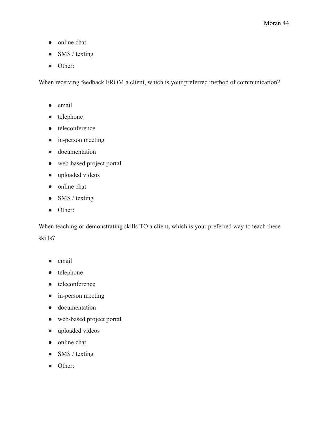- online chat
- SMS / texting
- Other:

When receiving feedback FROM a client, which is your preferred method of communication?

- email
- telephone
- teleconference
- in-person meeting
- documentation
- web-based project portal
- uploaded videos
- online chat
- SMS / texting
- Other:

When teaching or demonstrating skills TO a client, which is your preferred way to teach these skills?

- email
- telephone
- teleconference
- in-person meeting
- documentation
- web-based project portal
- uploaded videos
- online chat
- SMS / texting
- Other: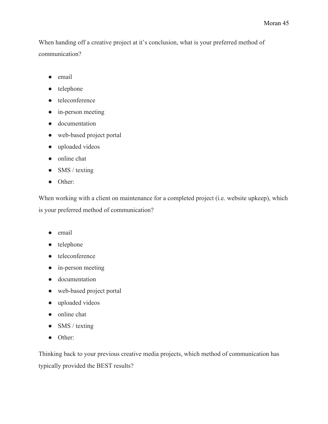When handing off a creative project at it's conclusion, what is your preferred method of communication?

- email
- telephone
- teleconference
- in-person meeting
- documentation
- web-based project portal
- uploaded videos
- online chat
- SMS / texting
- Other:

When working with a client on maintenance for a completed project (i.e. website upkeep), which is your preferred method of communication?

- email
- telephone
- teleconference
- in-person meeting
- documentation
- web-based project portal
- uploaded videos
- online chat
- SMS / texting
- Other:

Thinking back to your previous creative media projects, which method of communication has typically provided the BEST results?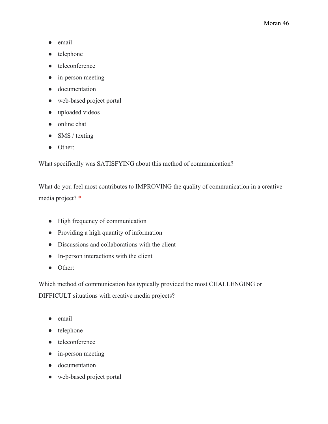- email
- telephone
- teleconference
- in-person meeting
- documentation
- web-based project portal
- uploaded videos
- online chat
- SMS / texting
- Other:

What specifically was SATISFYING about this method of communication?

What do you feel most contributes to IMPROVING the quality of communication in a creative media project? \*

- High frequency of communication
- Providing a high quantity of information
- Discussions and collaborations with the client
- In-person interactions with the client
- Other:

Which method of communication has typically provided the most CHALLENGING or DIFFICULT situations with creative media projects?

- email
- telephone
- teleconference
- in-person meeting
- documentation
- web-based project portal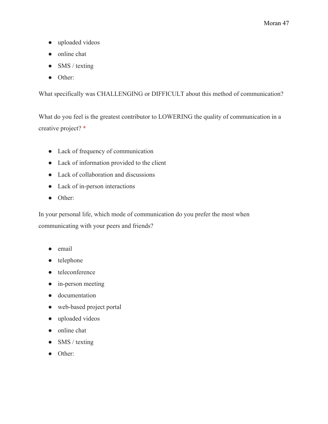- uploaded videos
- online chat
- $\bullet$  SMS / texting
- Other:

What specifically was CHALLENGING or DIFFICULT about this method of communication?

What do you feel is the greatest contributor to LOWERING the quality of communication in a creative project? \*

- Lack of frequency of communication
- Lack of information provided to the client
- Lack of collaboration and discussions
- Lack of in-person interactions
- Other:

In your personal life, which mode of communication do you prefer the most when communicating with your peers and friends?

- email
- telephone
- teleconference
- in-person meeting
- documentation
- web-based project portal
- uploaded videos
- online chat
- SMS / texting
- Other: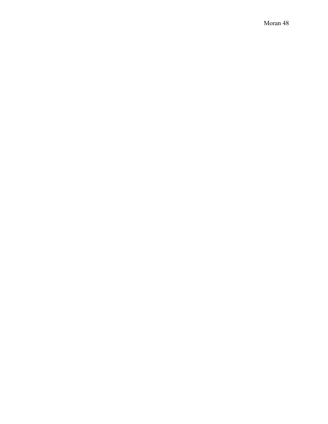Moran 48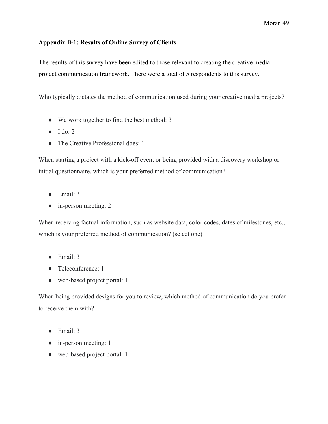## Moran 49

# **Appendix B-1: Results of Online Survey of Clients**

The results of this survey have been edited to those relevant to creating the creative media project communication framework. There were a total of 5 respondents to this survey.

Who typically dictates the method of communication used during your creative media projects?

- We work together to find the best method: 3
- $\bullet$  I do: 2
- The Creative Professional does: 1

When starting a project with a kick-off event or being provided with a discovery workshop or initial questionnaire, which is your preferred method of communication?

- Email: 3
- in-person meeting: 2

When receiving factual information, such as website data, color codes, dates of milestones, etc., which is your preferred method of communication? (select one)

- Email: 3
- Teleconference: 1
- web-based project portal: 1

When being provided designs for you to review, which method of communication do you prefer to receive them with?

- Email: 3
- in-person meeting: 1
- web-based project portal: 1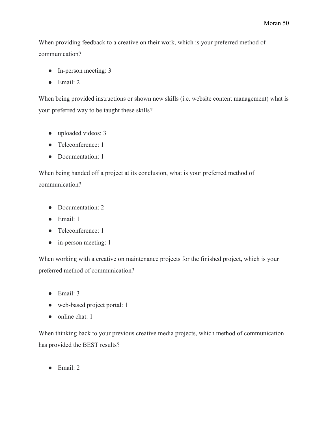When providing feedback to a creative on their work, which is your preferred method of communication?

- In-person meeting: 3
- Email: 2

When being provided instructions or shown new skills (i.e. website content management) what is your preferred way to be taught these skills?

- uploaded videos: 3
- Teleconference: 1
- Documentation: 1

When being handed off a project at its conclusion, what is your preferred method of communication?

- Documentation: 2
- $\bullet$  Email: 1
- Teleconference: 1
- in-person meeting: 1

When working with a creative on maintenance projects for the finished project, which is your preferred method of communication?

- Email: 3
- web-based project portal: 1
- online chat: 1

When thinking back to your previous creative media projects, which method of communication has provided the BEST results?

● Email: 2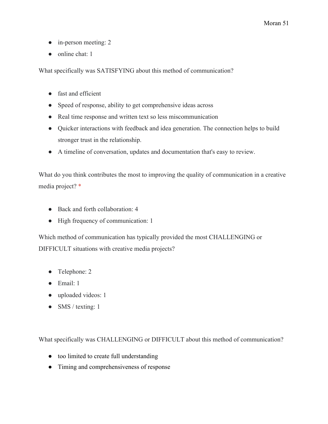- in-person meeting: 2
- online chat: 1

What specifically was SATISFYING about this method of communication?

- fast and efficient
- Speed of response, ability to get comprehensive ideas across
- Real time response and written text so less miscommunication
- Quicker interactions with feedback and idea generation. The connection helps to build stronger trust in the relationship.
- A timeline of conversation, updates and documentation that's easy to review.

What do you think contributes the most to improving the quality of communication in a creative media project? \*

- Back and forth collaboration: 4
- High frequency of communication: 1

Which method of communication has typically provided the most CHALLENGING or DIFFICULT situations with creative media projects?

- Telephone: 2
- Email: 1
- uploaded videos: 1
- SMS / texting:  $1$

What specifically was CHALLENGING or DIFFICULT about this method of communication?

- too limited to create full understanding
- Timing and comprehensiveness of response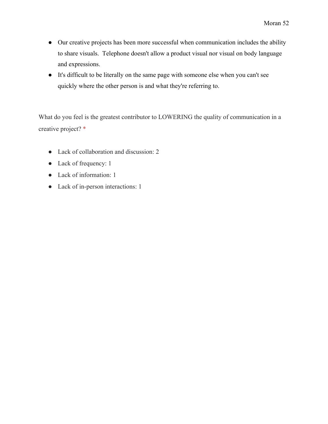- Our creative projects has been more successful when communication includes the ability to share visuals. Telephone doesn't allow a product visual nor visual on body language and expressions.
- It's difficult to be literally on the same page with someone else when you can't see quickly where the other person is and what they're referring to.

What do you feel is the greatest contributor to LOWERING the quality of communication in a creative project? \*

- Lack of collaboration and discussion: 2
- Lack of frequency: 1
- Lack of information: 1
- Lack of in-person interactions: 1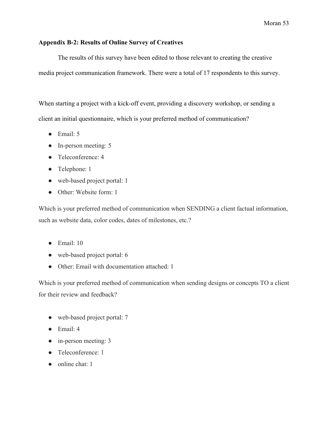#### Moran 53

### **Appendix B-2: Results of Online Survey of Creatives**

The results of this survey have been edited to those relevant to creating the creative media project communication framework. There were a total of 17 respondents to this survey.

When starting a project with a kick-off event, providing a discovery workshop, or sending a client an initial questionnaire, which is your preferred method of communication?

- Email: 5
- In-person meeting: 5
- Teleconference: 4
- Telephone: 1
- web-based project portal: 1
- Other: Website form: 1

Which is your preferred method of communication when SENDING a client factual information, such as website data, color codes, dates of milestones, etc.?

- $\bullet$  Email: 10
- web-based project portal: 6
- Other: Email with documentation attached: 1

Which is your preferred method of communication when sending designs or concepts TO a client for their review and feedback?

- web-based project portal: 7
- Email: 4
- in-person meeting: 3
- Teleconference: 1
- online chat: 1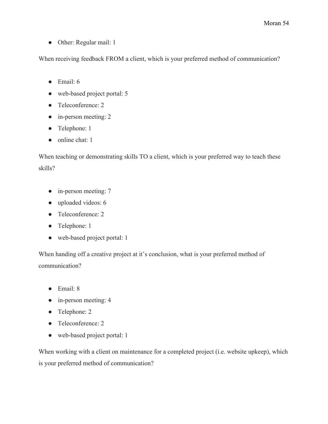• Other: Regular mail: 1

When receiving feedback FROM a client, which is your preferred method of communication?

- Email: 6
- web-based project portal: 5
- Teleconference: 2
- in-person meeting: 2
- Telephone: 1
- online chat: 1

When teaching or demonstrating skills TO a client, which is your preferred way to teach these skills?

- in-person meeting: 7
- uploaded videos: 6
- Teleconference: 2
- Telephone: 1
- web-based project portal: 1

When handing off a creative project at itʻs conclusion, what is your preferred method of communication?

- Email: 8
- in-person meeting: 4
- Telephone: 2
- Teleconference: 2
- web-based project portal: 1

When working with a client on maintenance for a completed project (i.e. website upkeep), which is your preferred method of communication?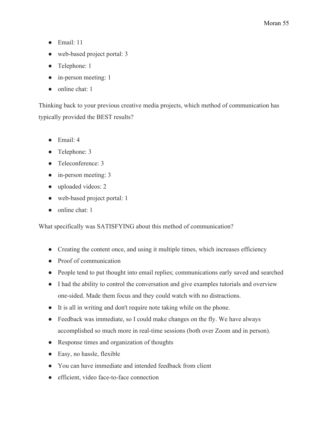- Email: 11
- web-based project portal: 3
- Telephone: 1
- in-person meeting: 1
- online chat: 1

Thinking back to your previous creative media projects, which method of communication has typically provided the BEST results?

- $\bullet$  Email: 4
- Telephone: 3
- Teleconference: 3
- in-person meeting: 3
- uploaded videos: 2
- web-based project portal: 1
- online chat: 1

What specifically was SATISFYING about this method of communication?

- Creating the content once, and using it multiple times, which increases efficiency
- Proof of communication
- People tend to put thought into email replies; communications early saved and searched
- I had the ability to control the conversation and give examples tutorials and overview one-sided. Made them focus and they could watch with no distractions.
- It is all in writing and don't require note taking while on the phone.
- Feedback was immediate, so I could make changes on the fly. We have always accomplished so much more in real-time sessions (both over Zoom and in person).
- Response times and organization of thoughts
- Easy, no hassle, flexible
- You can have immediate and intended feedback from client
- efficient, video face-to-face connection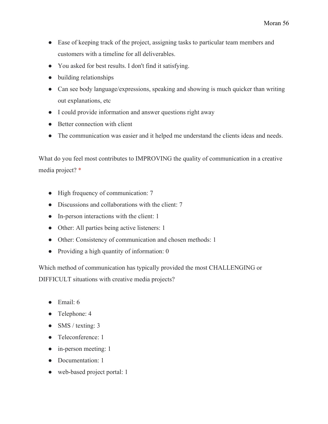- Ease of keeping track of the project, assigning tasks to particular team members and customers with a timeline for all deliverables.
- You asked for best results. I don't find it satisfying.
- building relationships
- Can see body language/expressions, speaking and showing is much quicker than writing out explanations, etc
- I could provide information and answer questions right away
- Better connection with client
- The communication was easier and it helped me understand the clients ideas and needs.

What do you feel most contributes to IMPROVING the quality of communication in a creative media project? \*

- High frequency of communication: 7
- Discussions and collaborations with the client: 7
- In-person interactions with the client: 1
- Other: All parties being active listeners: 1
- Other: Consistency of communication and chosen methods: 1
- Providing a high quantity of information: 0

Which method of communication has typically provided the most CHALLENGING or DIFFICULT situations with creative media projects?

- Email: 6
- Telephone: 4
- SMS / texting: 3
- Teleconference: 1
- in-person meeting: 1
- Documentation: 1
- web-based project portal: 1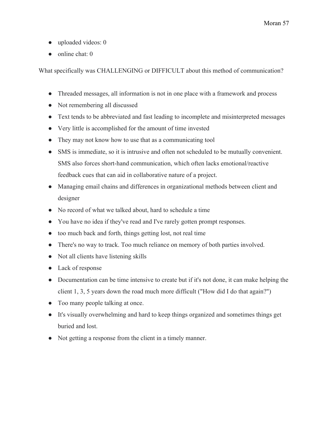- uploaded videos: 0
- $\bullet$  online chat: 0

What specifically was CHALLENGING or DIFFICULT about this method of communication?

- Threaded messages, all information is not in one place with a framework and process
- Not remembering all discussed
- Text tends to be abbreviated and fast leading to incomplete and misinterpreted messages
- Very little is accomplished for the amount of time invested
- They may not know how to use that as a communicating tool
- SMS is immediate, so it is intrusive and often not scheduled to be mutually convenient. SMS also forces short-hand communication, which often lacks emotional/reactive feedback cues that can aid in collaborative nature of a project.
- Managing email chains and differences in organizational methods between client and designer
- No record of what we talked about, hard to schedule a time
- You have no idea if they've read and I've rarely gotten prompt responses.
- too much back and forth, things getting lost, not real time
- There's no way to track. Too much reliance on memory of both parties involved.
- Not all clients have listening skills
- Lack of response
- Documentation can be time intensive to create but if it's not done, it can make helping the client 1, 3, 5 years down the road much more difficult ("How did I do that again?")
- Too many people talking at once.
- It's visually overwhelming and hard to keep things organized and sometimes things get buried and lost.
- Not getting a response from the client in a timely manner.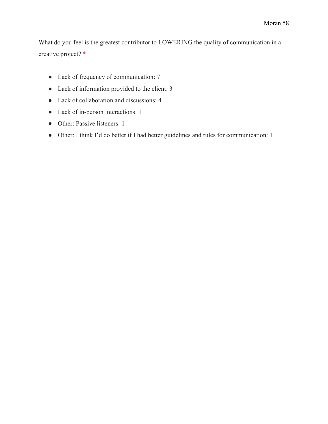What do you feel is the greatest contributor to LOWERING the quality of communication in a creative project? \*

- Lack of frequency of communication: 7
- Lack of information provided to the client: 3
- Lack of collaboration and discussions: 4
- Lack of in-person interactions: 1
- Other: Passive listeners: 1
- Other: I think Iʻd do better if I had better guidelines and rules for communication: 1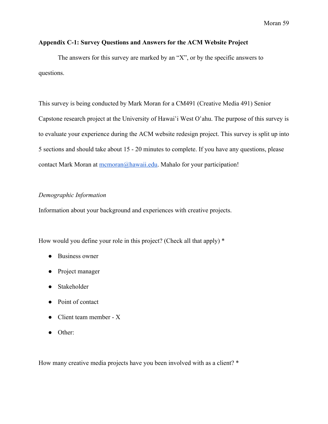#### **Appendix C-1: Survey Questions and Answers for the ACM Website Project**

The answers for this survey are marked by an "X", or by the specific answers to questions.

This survey is being conducted by Mark Moran for a CM491 (Creative Media 491) Senior Capstone research project at the University of Hawaiʻi West Oʻahu. The purpose of this survey is to evaluate your experience during the ACM website redesign project. This survey is split up into 5 sections and should take about 15 - 20 minutes to complete. If you have any questions, please contact Mark Moran at [mcmoran@hawaii.edu.](mailto:mcmoran@hawaii.edu) Mahalo for your participation!

## *Demographic Information*

Information about your background and experiences with creative projects.

How would you define your role in this project? (Check all that apply) \*

- Business owner
- Project manager
- Stakeholder
- Point of contact
- $\bullet$  Client team member X
- Other:

How many creative media projects have you been involved with as a client? \*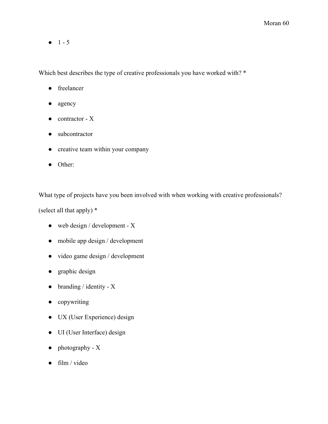$-1 - 5$ 

Which best describes the type of creative professionals you have worked with? \*

- freelancer
- agency
- $\bullet$  contractor X
- subcontractor
- creative team within your company
- Other:

What type of projects have you been involved with when working with creative professionals?

(select all that apply) \*

- $\bullet$  web design / development X
- mobile app design / development
- video game design / development
- graphic design
- $\bullet$  branding / identity X
- copywriting
- UX (User Experience) design
- UI (User Interface) design
- $\bullet$  photography X
- film / video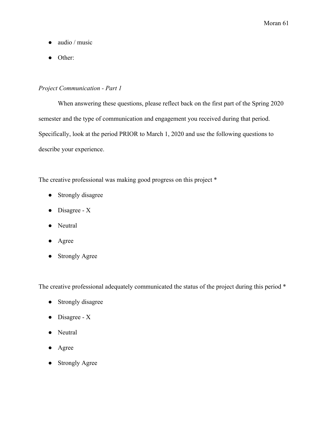- $\bullet$  audio / music
- Other:

## *Project Communication - Part 1*

When answering these questions, please reflect back on the first part of the Spring 2020 semester and the type of communication and engagement you received during that period. Specifically, look at the period PRIOR to March 1, 2020 and use the following questions to describe your experience.

The creative professional was making good progress on this project \*

- Strongly disagree
- $\bullet$  Disagree X
- Neutral
- Agree
- Strongly Agree

The creative professional adequately communicated the status of the project during this period  $*$ 

- Strongly disagree
- $\bullet$  Disagree X
- Neutral
- Agree
- Strongly Agree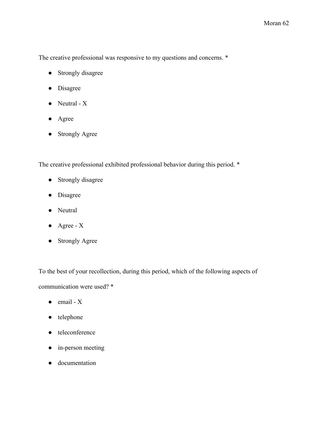The creative professional was responsive to my questions and concerns. \*

- Strongly disagree
- Disagree
- $\bullet$  Neutral X
- Agree
- Strongly Agree

The creative professional exhibited professional behavior during this period. \*

- Strongly disagree
- Disagree
- Neutral
- $\bullet$  Agree X
- Strongly Agree

To the best of your recollection, during this period, which of the following aspects of

communication were used? \*

- $\bullet$  email X
- telephone
- teleconference
- in-person meeting
- documentation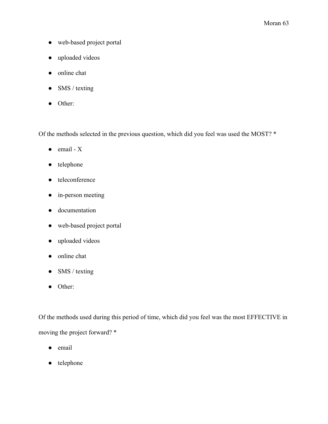- web-based project portal
- uploaded videos
- online chat
- $\bullet$  SMS / texting
- Other:

Of the methods selected in the previous question, which did you feel was used the MOST? \*

- $\bullet$  email X
- telephone
- teleconference
- in-person meeting
- documentation
- web-based project portal
- uploaded videos
- online chat
- SMS / texting
- Other:

Of the methods used during this period of time, which did you feel was the most EFFECTIVE in moving the project forward? \*

- email
- telephone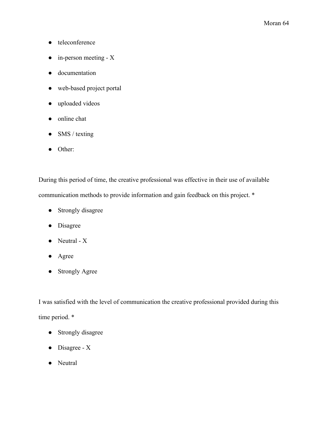- teleconference
- $\bullet$  in-person meeting X
- documentation
- web-based project portal
- uploaded videos
- online chat
- SMS / texting
- Other:

During this period of time, the creative professional was effective in their use of available communication methods to provide information and gain feedback on this project. \*

- Strongly disagree
- Disagree
- $\bullet$  Neutral X
- Agree
- Strongly Agree

I was satisfied with the level of communication the creative professional provided during this time period. \*

- Strongly disagree
- $\bullet$  Disagree X
- Neutral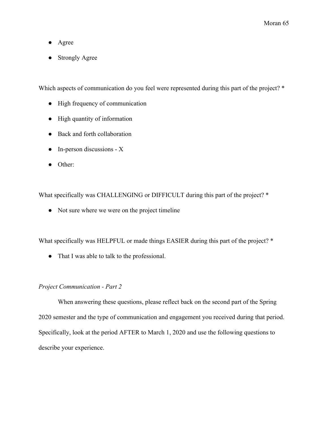- Agree
- Strongly Agree

Which aspects of communication do you feel were represented during this part of the project? \*

- High frequency of communication
- High quantity of information
- Back and forth collaboration
- $\bullet$  In-person discussions X
- Other:

What specifically was CHALLENGING or DIFFICULT during this part of the project? \*

• Not sure where we were on the project timeline

What specifically was HELPFUL or made things EASIER during this part of the project? \*

● That I was able to talk to the professional.

# *Project Communication - Part 2*

When answering these questions, please reflect back on the second part of the Spring 2020 semester and the type of communication and engagement you received during that period. Specifically, look at the period AFTER to March 1, 2020 and use the following questions to describe your experience.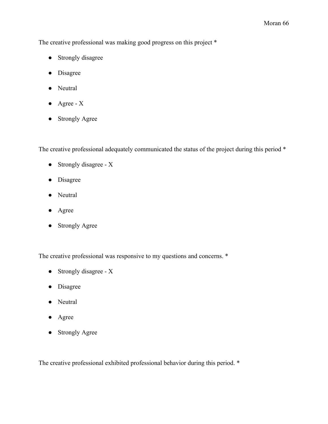The creative professional was making good progress on this project \*

- Strongly disagree
- Disagree
- Neutral
- $\bullet$  Agree X
- Strongly Agree

The creative professional adequately communicated the status of the project during this period  $*$ 

- $\bullet$  Strongly disagree X
- Disagree
- Neutral
- Agree
- Strongly Agree

The creative professional was responsive to my questions and concerns. \*

- $\bullet$  Strongly disagree X
- Disagree
- Neutral
- Agree
- Strongly Agree

The creative professional exhibited professional behavior during this period. \*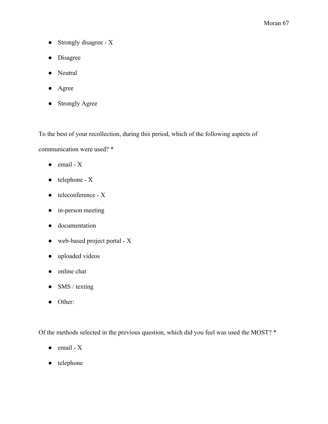- $\bullet$  Strongly disagree X
- Disagree
- Neutral
- Agree
- Strongly Agree

To the best of your recollection, during this period, which of the following aspects of communication were used? \*

- $\bullet$  email X
- $\bullet$  telephone X
- $\bullet$  teleconference X
- in-person meeting
- documentation
- web-based project portal X
- uploaded videos
- online chat
- SMS / texting
- Other:

Of the methods selected in the previous question, which did you feel was used the MOST? \*

- $\bullet$  email X
- telephone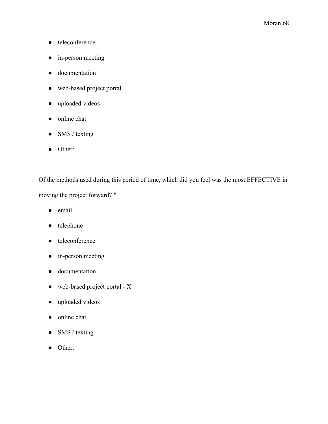- teleconference
- in-person meeting
- documentation
- web-based project portal
- uploaded videos
- online chat
- SMS / texting
- Other:

Of the methods used during this period of time, which did you feel was the most EFFECTIVE in moving the project forward? \*

- email
- telephone
- teleconference
- in-person meeting
- documentation
- web-based project portal X
- uploaded videos
- online chat
- SMS / texting
- Other: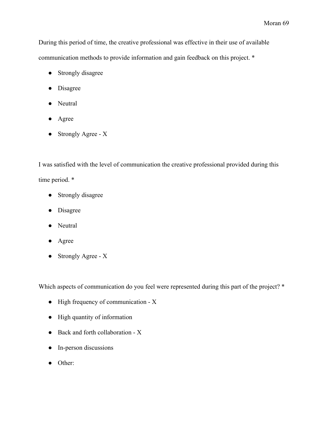During this period of time, the creative professional was effective in their use of available communication methods to provide information and gain feedback on this project. \*

- Strongly disagree
- Disagree
- Neutral
- Agree
- Strongly Agree  $X$

I was satisfied with the level of communication the creative professional provided during this time period. \*

- Strongly disagree
- Disagree
- Neutral
- Agree
- $\bullet$  Strongly Agree X

Which aspects of communication do you feel were represented during this part of the project? \*

- $\bullet$  High frequency of communication X
- High quantity of information
- Back and forth collaboration X
- In-person discussions
- Other: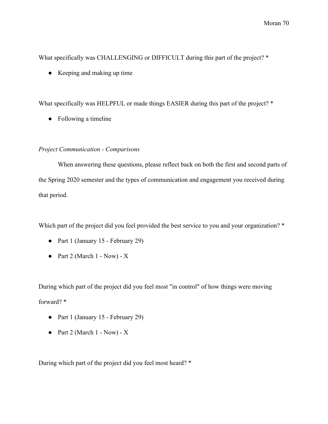What specifically was CHALLENGING or DIFFICULT during this part of the project? \*

• Keeping and making up time

What specifically was HELPFUL or made things EASIER during this part of the project? \*

 $\bullet$  Following a timeline

## *Project Communication - Comparisons*

When answering these questions, please reflect back on both the first and second parts of the Spring 2020 semester and the types of communication and engagement you received during that period.

Which part of the project did you feel provided the best service to you and your organization? \*

- Part 1 (January 15 February 29)
- Part 2 (March  $1 Now$ ) X

During which part of the project did you feel most "in control" of how things were moving forward? \*

- Part 1 (January 15 February 29)
- Part 2 (March 1 Now)  $X$

During which part of the project did you feel most heard? \*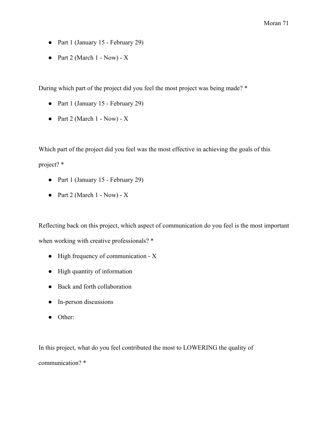- Part 1 (January 15 February 29)
- Part 2 (March  $1 Now$ ) X

During which part of the project did you feel the most project was being made? \*

- Part 1 (January 15 February 29)
- Part 2 (March  $1 Now$ ) X

Which part of the project did you feel was the most effective in achieving the goals of this project? \*

- Part 1 (January 15 February 29)
- Part 2 (March  $1 Now$ ) X

Reflecting back on this project, which aspect of communication do you feel is the most important when working with creative professionals? \*

- High frequency of communication X
- High quantity of information
- Back and forth collaboration
- In-person discussions
- Other:

In this project, what do you feel contributed the most to LOWERING the quality of communication? \*